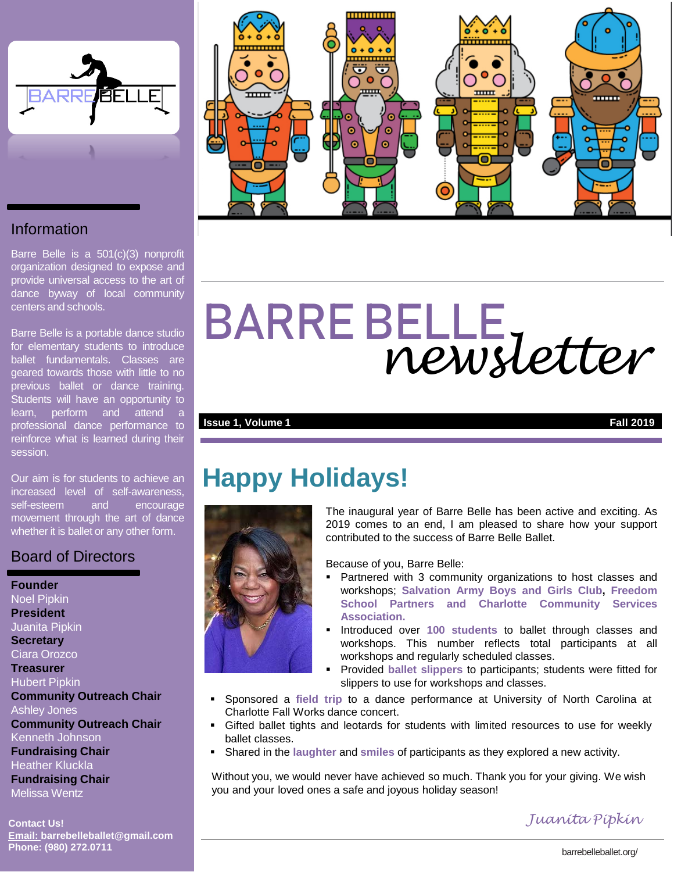

#### Information

Barre Belle is a 501(c)(3) nonprofit organization designed to expose and provide universal access to the art of dance byway of local community centers and schools.

Barre Belle is a portable dance studio for elementary students to introduce ballet fundamentals. Classes are geared towards those with little to no previous ballet or dance training. Students will have an opportunity to learn, perform and attend a professional dance performance to reinforce what is learned during their session.

Our aim is for students to achieve an increased level of self-awareness, self-esteem and encourage movement through the art of dance whether it is ballet or any other form.

#### Board of Directors

#### **Founder** Noel Pipkin **President** Juanita Pipkin **Secretary** Ciara Orozco **Treasurer** Hubert Pipkin **Community Outreach Chair** Ashley Jones **Community Outreach Chair**  Kenneth Johnson **Fundraising Chair** Heather Kluckla **Fundraising Chair**

Melissa Wentz

**Contact Us! Email: barrebelleballet@gmail.com Phone: (980) 272.0711** barrebelleballet.org/



# BARRE BELLE *newsletter*

#### **Issue 1, Volume 1 Fall 2019**

## **Happy Holidays!**



The inaugural year of Barre Belle has been active and exciting. As 2019 comes to an end, I am pleased to share how your support contributed to the success of Barre Belle Ballet.

Because of you, Barre Belle:

- Partnered with 3 community organizations to host classes and workshops; **Salvation Army Boys and Girls Club, Freedom School Partners and Charlotte Community Services Association.**
- **Introduced over 100 students to ballet through classes and** workshops. This number reflects total participants at all workshops and regularly scheduled classes.
- Provided **ballet slippers** to participants; students were fitted for slippers to use for workshops and classes.
- Sponsored a **field trip** to a dance performance at University of North Carolina at Charlotte Fall Works dance concert.
- Gifted ballet tights and leotards for students with limited resources to use for weekly ballet classes.
- Shared in the **laughter** and **smiles** of participants as they explored a new activity.

Without you, we would never have achieved so much. Thank you for your giving. We wish you and your loved ones a safe and joyous holiday season!

*Juanita Pipkin*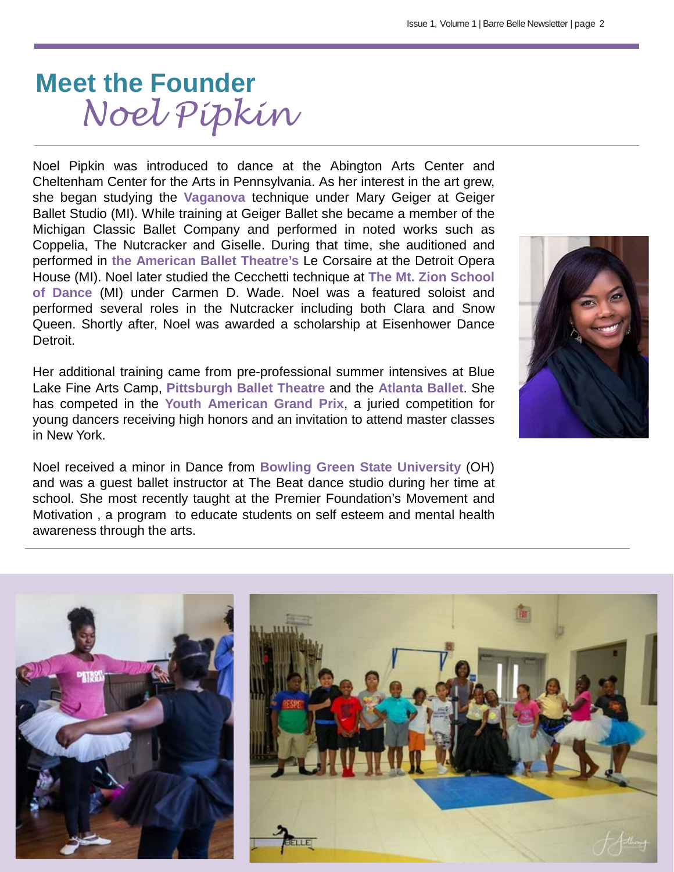# **Meet the Founder** *Noel Pipkin*

Noel Pipkin was introduced to dance at the Abington Arts Center and Cheltenham Center for the Arts in Pennsylvania. As her interest in the art grew, she began studying the **Vaganova** technique under Mary Geiger at Geiger Ballet Studio (MI). While training at Geiger Ballet she became a member of the Michigan Classic Ballet Company and performed in noted works such as Coppelia, The Nutcracker and Giselle. During that time, she auditioned and performed in **the American Ballet Theatre's** Le Corsaire at the Detroit Opera House (MI). Noel later studied the Cecchetti technique at **The Mt. Zion School of Dance** (MI) under Carmen D. Wade. Noel was a featured soloist and performed several roles in the Nutcracker including both Clara and Snow Queen. Shortly after, Noel was awarded a scholarship at Eisenhower Dance Detroit.

Her additional training came from pre-professional summer intensives at Blue Lake Fine Arts Camp, **Pittsburgh Ballet Theatre** and the **Atlanta Ballet**. She has competed in the **Youth American Grand Prix**, a juried competition for young dancers receiving high honors and an invitation to attend master classes in New York.

Noel received a minor in Dance from **Bowling Green State University** (OH) and was a guest ballet instructor at The Beat dance studio during her time at school. She most recently taught at the Premier Foundation's Movement and Motivation , a program to educate students on self esteem and mental health awareness through the arts.



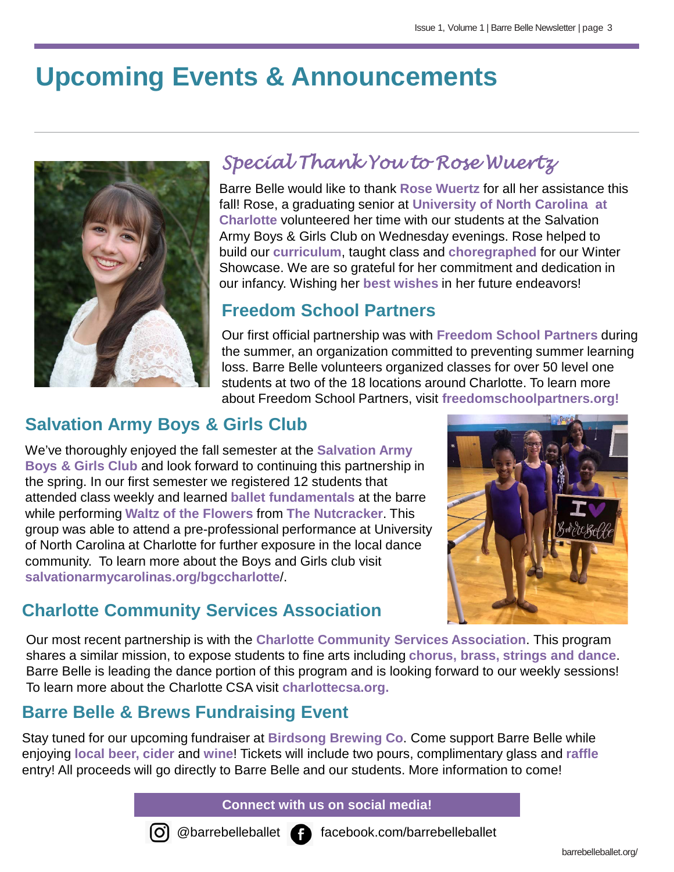# **Upcoming Events & Announcements**



## *Special Thank You to Rose Wuertz*

Barre Belle would like to thank **Rose Wuertz** for all her assistance this fall! Rose, a graduating senior at **University of North Carolina at Charlotte** volunteered her time with our students at the Salvation Army Boys & Girls Club on Wednesday evenings. Rose helped to build our **curriculum**, taught class and **choregraphed** for our Winter Showcase. We are so grateful for her commitment and dedication in our infancy. Wishing her **best wishes** in her future endeavors!

#### **Freedom School Partners**

Our first official partnership was with **Freedom School Partners** during the summer, an organization committed to preventing summer learning loss. Barre Belle volunteers organized classes for over 50 level one students at two of the 18 locations around Charlotte. To learn more about Freedom School Partners, visit **freedomschoolpartners.org!**

## **Salvation Army Boys & Girls Club**

We've thoroughly enjoyed the fall semester at the **Salvation Army Boys & Girls Club** and look forward to continuing this partnership in the spring. In our first semester we registered 12 students that attended class weekly and learned **ballet fundamentals** at the barre while performing **Waltz of the Flowers** from **The Nutcracker**. This group was able to attend a pre-professional performance at University of North Carolina at Charlotte for further exposure in the local dance community. To learn more about the Boys and Girls club visit **salvationarmycarolinas.org/bgccharlotte**/.

## **Charlotte Community Services Association**



Our most recent partnership is with the **Charlotte Community Services Association**. This program shares a similar mission, to expose students to fine arts including **chorus, brass, strings and dance**. Barre Belle is leading the dance portion of this program and is looking forward to our weekly sessions! To learn more about the Charlotte CSA visit **charlottecsa.org.** 

### **Barre Belle & Brews Fundraising Event**

Stay tuned for our upcoming fundraiser at **Birdsong Brewing Co**. Come support Barre Belle while enjoying **local beer, cider** and **wine**! Tickets will include two pours, complimentary glass and **raffle** entry! All proceeds will go directly to Barre Belle and our students. More information to come!

#### **Connect with us on social media!**



@barrebelleballet facebook.com/barrebelleballet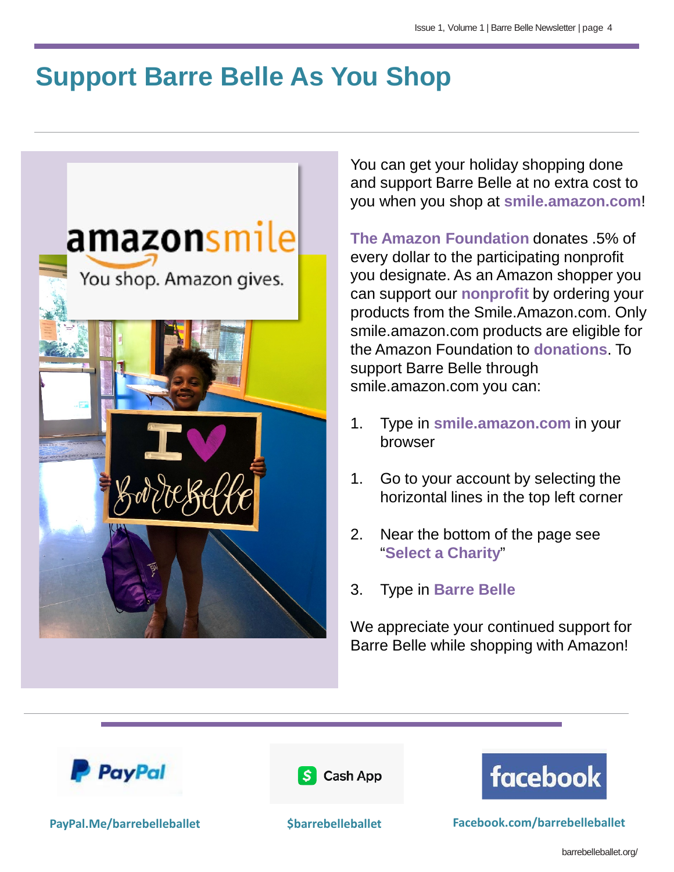# **Support Barre Belle As You Shop**



You can get your holiday shopping done and support Barre Belle at no extra cost to you when you shop at **smile.amazon.com**!

**The Amazon Foundation** donates .5% of every dollar to the participating nonprofit you designate. As an Amazon shopper you can support our **nonprofit** by ordering your products from the Smile.Amazon.com. Only smile.amazon.com products are eligible for the Amazon Foundation to **donations**. To support Barre Belle through smile.amazon.com you can:

- 1. Type in **smile.amazon.com** in your browser
- 1. Go to your account by selecting the horizontal lines in the top left corner
- 2. Near the bottom of the page see "**Select a Charity**"
- 3. Type in **Barre Belle**

We appreciate your continued support for Barre Belle while shopping with Amazon!







**PayPal.Me/barrebelleballet \$barrebelleballet Facebook.com/barrebelleballet**